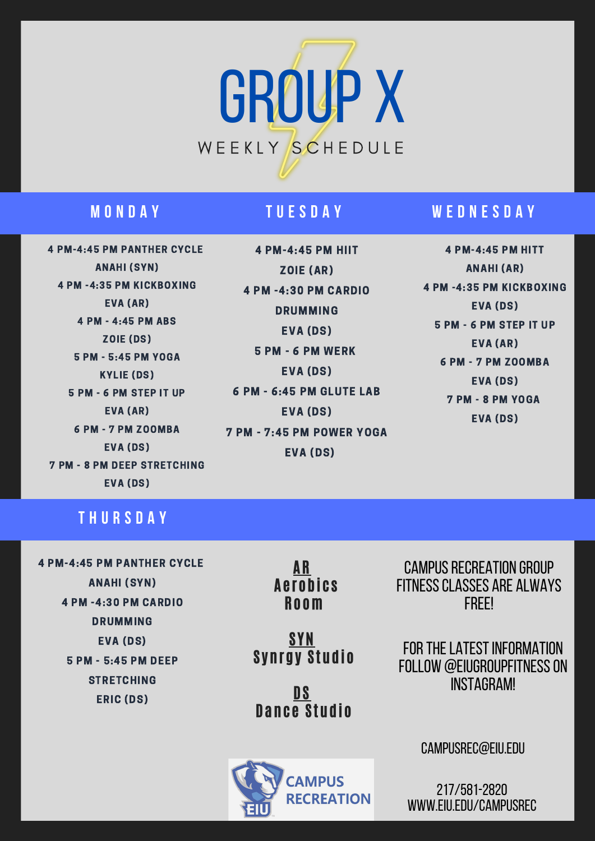

## **M O N D A Y T U E S D A Y**

4 PM-4:45 PM PANTHER CYCLE ANAHI (SYN) 4 PM -4:35 PM KICKBOXING EVA (AR) 4 PM - 4:45 PM ABS ZOIE (DS) 5 PM - 5:45 PM YOGA KYLIE (DS) 5 PM - 6 PM STEP IT UP EVA (AR) 6 PM - 7 PM ZOOMBA EVA (DS) 7 PM - 8 PM DEEP STRETCHING EVA (DS)

4 PM-4:45 PM HIIT ZOIE (AR) 4 PM -4:30 PM CARDIO DRUMMING EVA (DS) 5 PM - 6 PM WERK EVA (DS) 6 PM - 6:45 PM GLUTE LAB EVA (DS) 7 PM - 7:45 PM POWER YOGA EVA (DS)

## **W E D N E S D A Y**

4 PM-4:45 PM HITT ANAHI (AR) 4 PM -4:35 PM KICKBOXING EVA (DS) 5 PM - 6 PM STEP IT UP EVA (AR) 6 PM - 7 PM ZOOMBA EVA (DS) 7 PM - 8 PM YOGA EVA (DS)

## **T H U R S D A Y**

4 PM-4:45 PM PANTHER CYCLE ANAHI (SYN) 4 PM -4:30 PM CARDIO DRUMMING EVA (DS) 5 PM - 5:45 PM DEEP **STRETCHING** ERIC (DS)

AR **Aerobics** Ro om

**SYN Svnrgy Studio** 

DS Dance Studio



CAMPUS RECREATION GROUP fitnessclasses are always FREE!

FOR THE LATEST INFORMATION FOLLOW @EIUGROUPFITNESS ON Instagram!

campusrec@eiu.edu

217/581-2820 www.eiu.edu/campusrec